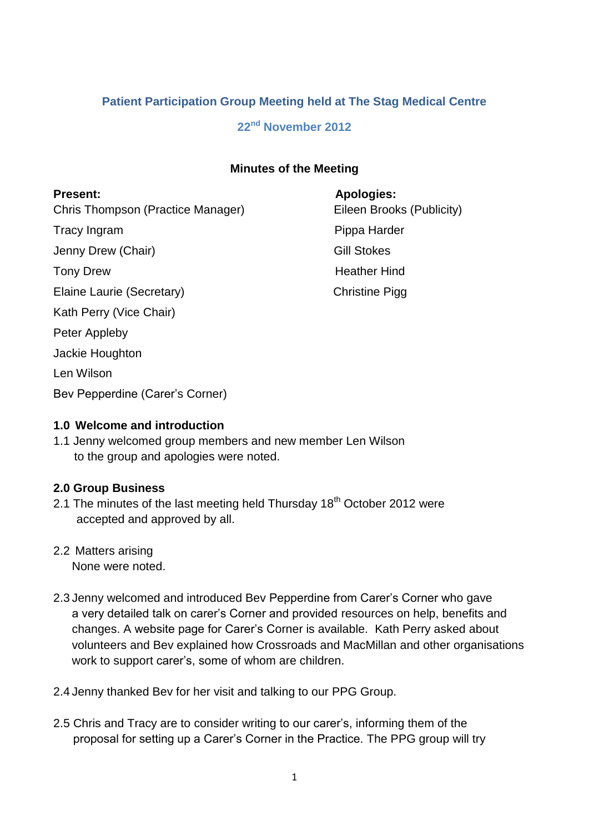# **Patient Participation Group Meeting held at The Stag Medical Centre**

# **22nd November 2012**

#### **Minutes of the Meeting**

Chris Thompson (Practice Manager) Eileen Brooks (Publicity) Tracy Ingram **Pippa Harder** Pippa Harder

Jenny Drew (Chair) Gill Stokes

Elaine Laurie (Secretary) Christine Pigg

Kath Perry (Vice Chair)

Peter Appleby

Jackie Houghton

Len Wilson

Bev Pepperdine (Carer's Corner)

# **Present: Apologies:** Tony Drew **Heather Hind**

### **1.0 Welcome and introduction**

1.1 Jenny welcomed group members and new member Len Wilson to the group and apologies were noted.

# **2.0 Group Business**

- 2.1 The minutes of the last meeting held Thursday 18<sup>th</sup> October 2012 were accepted and approved by all.
- 2.2 Matters arising

None were noted.

- 2.3 Jenny welcomed and introduced Bev Pepperdine from Carer's Corner who gave a very detailed talk on carer's Corner and provided resources on help, benefits and changes. A website page for Carer's Corner is available. Kath Perry asked about volunteers and Bev explained how Crossroads and MacMillan and other organisations work to support carer's, some of whom are children.
- 2.4 Jenny thanked Bev for her visit and talking to our PPG Group.
- 2.5 Chris and Tracy are to consider writing to our carer's, informing them of the proposal for setting up a Carer's Corner in the Practice. The PPG group will try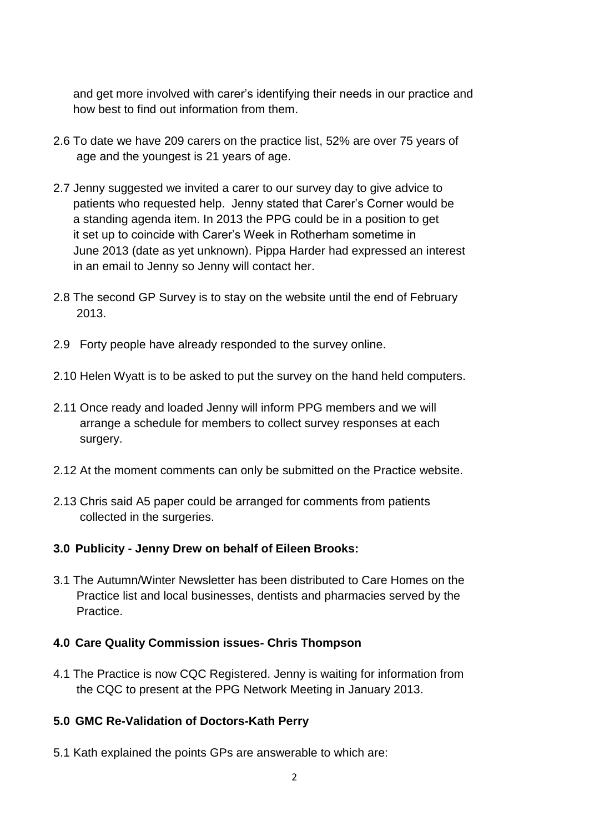and get more involved with carer's identifying their needs in our practice and how best to find out information from them.

- 2.6 To date we have 209 carers on the practice list, 52% are over 75 years of age and the youngest is 21 years of age.
- 2.7 Jenny suggested we invited a carer to our survey day to give advice to patients who requested help. Jenny stated that Carer's Corner would be a standing agenda item. In 2013 the PPG could be in a position to get it set up to coincide with Carer's Week in Rotherham sometime in June 2013 (date as yet unknown). Pippa Harder had expressed an interest in an email to Jenny so Jenny will contact her.
- 2.8 The second GP Survey is to stay on the website until the end of February 2013.
- 2.9 Forty people have already responded to the survey online.
- 2.10 Helen Wyatt is to be asked to put the survey on the hand held computers.
- 2.11 Once ready and loaded Jenny will inform PPG members and we will arrange a schedule for members to collect survey responses at each surgery.
- 2.12 At the moment comments can only be submitted on the Practice website.
- 2.13 Chris said A5 paper could be arranged for comments from patients collected in the surgeries.

### **3.0 Publicity - Jenny Drew on behalf of Eileen Brooks:**

3.1 The Autumn/Winter Newsletter has been distributed to Care Homes on the Practice list and local businesses, dentists and pharmacies served by the Practice.

### **4.0 Care Quality Commission issues- Chris Thompson**

4.1 The Practice is now CQC Registered. Jenny is waiting for information from the CQC to present at the PPG Network Meeting in January 2013.

### **5.0 GMC Re-Validation of Doctors-Kath Perry**

5.1 Kath explained the points GPs are answerable to which are: